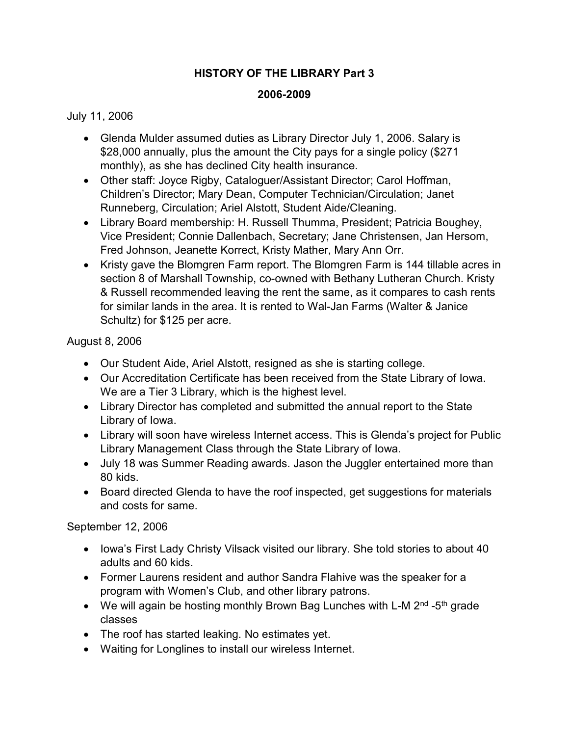## HISTORY OF THE LIBRARY Part 3

## 2006-2009

## July 11, 2006

- Glenda Mulder assumed duties as Library Director July 1, 2006. Salary is \$28,000 annually, plus the amount the City pays for a single policy (\$271 monthly), as she has declined City health insurance.
- Other staff: Joyce Rigby, Cataloguer/Assistant Director; Carol Hoffman, Children's Director; Mary Dean, Computer Technician/Circulation; Janet Runneberg, Circulation; Ariel Alstott, Student Aide/Cleaning.
- Library Board membership: H. Russell Thumma, President; Patricia Boughey, Vice President; Connie Dallenbach, Secretary; Jane Christensen, Jan Hersom, Fred Johnson, Jeanette Korrect, Kristy Mather, Mary Ann Orr.
- Kristy gave the Blomgren Farm report. The Blomgren Farm is 144 tillable acres in section 8 of Marshall Township, co-owned with Bethany Lutheran Church. Kristy & Russell recommended leaving the rent the same, as it compares to cash rents for similar lands in the area. It is rented to Wal-Jan Farms (Walter & Janice Schultz) for \$125 per acre.

## August 8, 2006

- Our Student Aide, Ariel Alstott, resigned as she is starting college.
- Our Accreditation Certificate has been received from the State Library of Iowa. We are a Tier 3 Library, which is the highest level.
- Library Director has completed and submitted the annual report to the State Library of Iowa.
- Library will soon have wireless Internet access. This is Glenda's project for Public Library Management Class through the State Library of Iowa.
- July 18 was Summer Reading awards. Jason the Juggler entertained more than 80 kids.
- Board directed Glenda to have the roof inspected, get suggestions for materials and costs for same.

September 12, 2006

- Iowa's First Lady Christy Vilsack visited our library. She told stories to about 40 adults and 60 kids.
- Former Laurens resident and author Sandra Flahive was the speaker for a program with Women's Club, and other library patrons.
- We will again be hosting monthly Brown Bag Lunches with L-M  $2<sup>nd</sup>$ -5<sup>th</sup> grade classes
- The roof has started leaking. No estimates yet.
- Waiting for Longlines to install our wireless Internet.